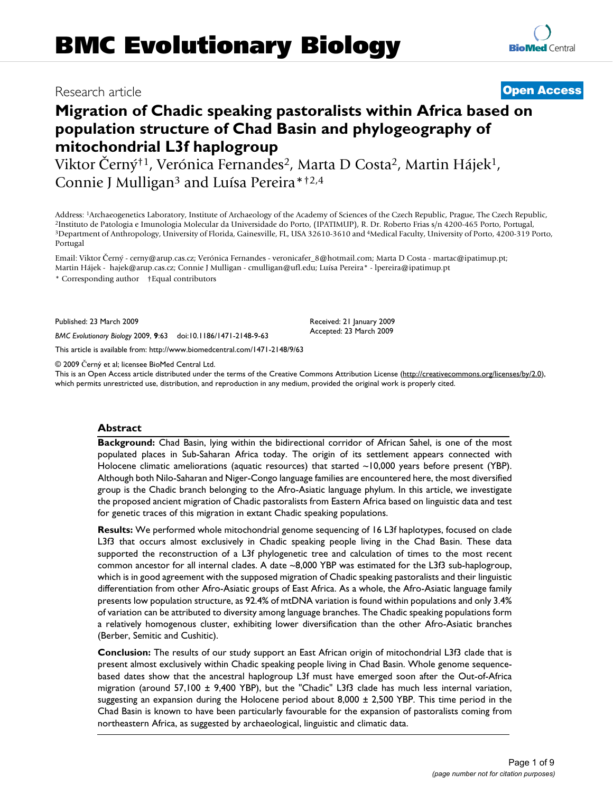# Research article **[Open Access](http://www.biomedcentral.com/info/about/charter/)**

# **Migration of Chadic speaking pastoralists within Africa based on population structure of Chad Basin and phylogeography of mitochondrial L3f haplogroup**

Viktor Černý<sup>†1</sup>, Verónica Fernandes<sup>2</sup>, Marta D Costa<sup>2</sup>, Martin Hájek<sup>1</sup>, Connie J Mulligan3 and Luísa Pereira\*†2,4

Address: <sup>1</sup>Archaeogenetics Laboratory, Institute of Archaeology of the Academy of Sciences of the Czech Republic, Prague, The Czech Republic, <sup>2</sup>Instituto de Patologia e Imunologia Molecular da Universidade do Porto, (IPA Portugal

Email: Viktor Černý - cerny@arup.cas.cz; Verónica Fernandes - veronicafer\_8@hotmail.com; Marta D Costa - martac@ipatimup.pt; Martin Hájek - hajek@arup.cas.cz; Connie J Mulligan - cmulligan@ufl.edu; Luísa Pereira\* - lpereira@ipatimup.pt

\* Corresponding author †Equal contributors

Published: 23 March 2009

*BMC Evolutionary Biology* 2009, **9**:63 doi:10.1186/1471-2148-9-63

[This article is available from: http://www.biomedcentral.com/1471-2148/9/63](http://www.biomedcentral.com/1471-2148/9/63)

© 2009 Černý et al; licensee BioMed Central Ltd.

This is an Open Access article distributed under the terms of the Creative Commons Attribution License [\(http://creativecommons.org/licenses/by/2.0\)](http://creativecommons.org/licenses/by/2.0), which permits unrestricted use, distribution, and reproduction in any medium, provided the original work is properly cited.

#### **Abstract**

**Background:** Chad Basin, lying within the bidirectional corridor of African Sahel, is one of the most populated places in Sub-Saharan Africa today. The origin of its settlement appears connected with Holocene climatic ameliorations (aquatic resources) that started ~10,000 years before present (YBP). Although both Nilo-Saharan and Niger-Congo language families are encountered here, the most diversified group is the Chadic branch belonging to the Afro-Asiatic language phylum. In this article, we investigate the proposed ancient migration of Chadic pastoralists from Eastern Africa based on linguistic data and test for genetic traces of this migration in extant Chadic speaking populations.

**Results:** We performed whole mitochondrial genome sequencing of 16 L3f haplotypes, focused on clade L3f3 that occurs almost exclusively in Chadic speaking people living in the Chad Basin. These data supported the reconstruction of a L3f phylogenetic tree and calculation of times to the most recent common ancestor for all internal clades. A date ~8,000 YBP was estimated for the L3f3 sub-haplogroup, which is in good agreement with the supposed migration of Chadic speaking pastoralists and their linguistic differentiation from other Afro-Asiatic groups of East Africa. As a whole, the Afro-Asiatic language family presents low population structure, as 92.4% of mtDNA variation is found within populations and only 3.4% of variation can be attributed to diversity among language branches. The Chadic speaking populations form a relatively homogenous cluster, exhibiting lower diversification than the other Afro-Asiatic branches (Berber, Semitic and Cushitic).

**Conclusion:** The results of our study support an East African origin of mitochondrial L3f3 clade that is present almost exclusively within Chadic speaking people living in Chad Basin. Whole genome sequencebased dates show that the ancestral haplogroup L3f must have emerged soon after the Out-of-Africa migration (around 57,100 ± 9,400 YBP), but the "Chadic" L3f3 clade has much less internal variation, suggesting an expansion during the Holocene period about  $8,000 \pm 2,500$  YBP. This time period in the Chad Basin is known to have been particularly favourable for the expansion of pastoralists coming from northeastern Africa, as suggested by archaeological, linguistic and climatic data.

Received: 21 January 2009 Accepted: 23 March 2009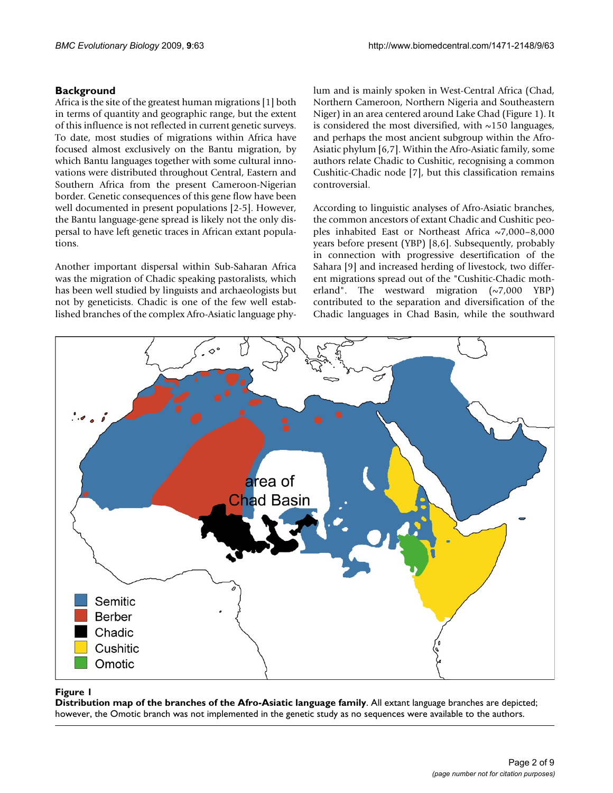# **Background**

Africa is the site of the greatest human migrations [1] both in terms of quantity and geographic range, but the extent of this influence is not reflected in current genetic surveys. To date, most studies of migrations within Africa have focused almost exclusively on the Bantu migration, by which Bantu languages together with some cultural innovations were distributed throughout Central, Eastern and Southern Africa from the present Cameroon-Nigerian border. Genetic consequences of this gene flow have been well documented in present populations [2-5]. However, the Bantu language-gene spread is likely not the only dispersal to have left genetic traces in African extant populations.

Another important dispersal within Sub-Saharan Africa was the migration of Chadic speaking pastoralists, which has been well studied by linguists and archaeologists but not by geneticists. Chadic is one of the few well established branches of the complex Afro-Asiatic language phylum and is mainly spoken in West-Central Africa (Chad, Northern Cameroon, Northern Nigeria and Southeastern Niger) in an area centered around Lake Chad (Figure 1). It is considered the most diversified, with  $\sim$ 150 languages, and perhaps the most ancient subgroup within the Afro-Asiatic phylum [6,7]. Within the Afro-Asiatic family, some authors relate Chadic to Cushitic, recognising a common Cushitic-Chadic node [7], but this classification remains controversial.

According to linguistic analyses of Afro-Asiatic branches, the common ancestors of extant Chadic and Cushitic peoples inhabited East or Northeast Africa  $\sim$ 7,000–8,000 years before present (YBP) [8,6]. Subsequently, probably in connection with progressive desertification of the Sahara [9] and increased herding of livestock, two different migrations spread out of the "Cushitic-Chadic motherland". The westward migration  $(\sim 7,000 \text{ YBP})$ contributed to the separation and diversification of the Chadic languages in Chad Basin, while the southward



#### Figure 1

**Distribution map of the branches of the Afro-Asiatic language family**. All extant language branches are depicted; however, the Omotic branch was not implemented in the genetic study as no sequences were available to the authors.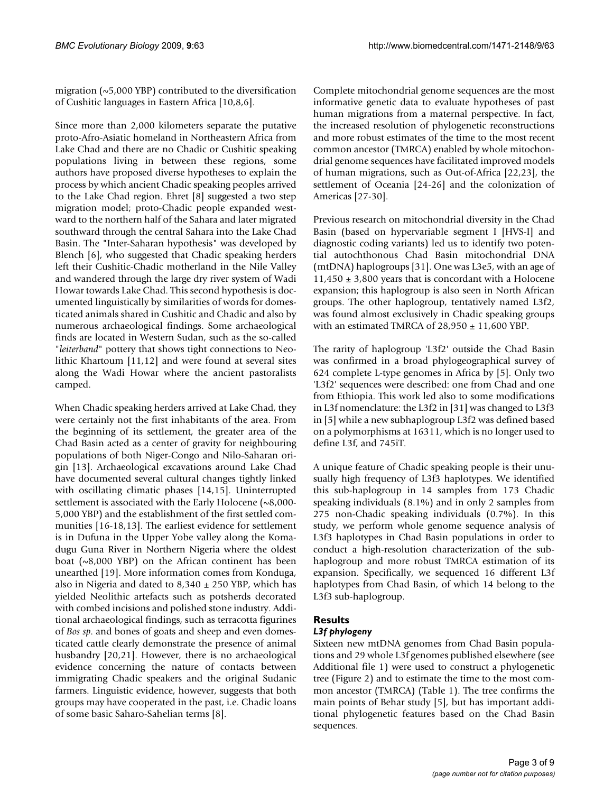migration  $(\sim 5,000 \text{ YBP})$  contributed to the diversification of Cushitic languages in Eastern Africa [10,8,6].

Since more than 2,000 kilometers separate the putative proto-Afro-Asiatic homeland in Northeastern Africa from Lake Chad and there are no Chadic or Cushitic speaking populations living in between these regions, some authors have proposed diverse hypotheses to explain the process by which ancient Chadic speaking peoples arrived to the Lake Chad region. Ehret [8] suggested a two step migration model; proto-Chadic people expanded westward to the northern half of the Sahara and later migrated southward through the central Sahara into the Lake Chad Basin. The "Inter-Saharan hypothesis" was developed by Blench [6], who suggested that Chadic speaking herders left their Cushitic-Chadic motherland in the Nile Valley and wandered through the large dry river system of Wadi Howar towards Lake Chad. This second hypothesis is documented linguistically by similarities of words for domesticated animals shared in Cushitic and Chadic and also by numerous archaeological findings. Some archaeological finds are located in Western Sudan, such as the so-called "*leiterband*" pottery that shows tight connections to Neolithic Khartoum [11,12] and were found at several sites along the Wadi Howar where the ancient pastoralists camped.

When Chadic speaking herders arrived at Lake Chad, they were certainly not the first inhabitants of the area. From the beginning of its settlement, the greater area of the Chad Basin acted as a center of gravity for neighbouring populations of both Niger-Congo and Nilo-Saharan origin [13]. Archaeological excavations around Lake Chad have documented several cultural changes tightly linked with oscillating climatic phases [14,15]. Uninterrupted settlement is associated with the Early Holocene (~8,000-5,000 YBP) and the establishment of the first settled communities [16-18,13]. The earliest evidence for settlement is in Dufuna in the Upper Yobe valley along the Komadugu Guna River in Northern Nigeria where the oldest boat  $({\sim}8,000$  YBP) on the African continent has been unearthed [19]. More information comes from Konduga, also in Nigeria and dated to  $8,340 \pm 250$  YBP, which has yielded Neolithic artefacts such as potsherds decorated with combed incisions and polished stone industry. Additional archaeological findings, such as terracotta figurines of *Bos sp*. and bones of goats and sheep and even domesticated cattle clearly demonstrate the presence of animal husbandry [20,21]. However, there is no archaeological evidence concerning the nature of contacts between immigrating Chadic speakers and the original Sudanic farmers. Linguistic evidence, however, suggests that both groups may have cooperated in the past, i.e. Chadic loans of some basic Saharo-Sahelian terms [8].

Complete mitochondrial genome sequences are the most informative genetic data to evaluate hypotheses of past human migrations from a maternal perspective. In fact, the increased resolution of phylogenetic reconstructions and more robust estimates of the time to the most recent common ancestor (TMRCA) enabled by whole mitochondrial genome sequences have facilitated improved models of human migrations, such as Out-of-Africa [22,23], the settlement of Oceania [24-26] and the colonization of Americas [27-30].

Previous research on mitochondrial diversity in the Chad Basin (based on hypervariable segment I [HVS-I] and diagnostic coding variants) led us to identify two potential autochthonous Chad Basin mitochondrial DNA (mtDNA) haplogroups [31]. One was L3e5, with an age of  $11,450 \pm 3,800$  years that is concordant with a Holocene expansion; this haplogroup is also seen in North African groups. The other haplogroup, tentatively named L3f2, was found almost exclusively in Chadic speaking groups with an estimated TMRCA of  $28,950 \pm 11,600$  YBP.

The rarity of haplogroup 'L3f2' outside the Chad Basin was confirmed in a broad phylogeographical survey of 624 complete L-type genomes in Africa by [5]. Only two 'L3f2' sequences were described: one from Chad and one from Ethiopia. This work led also to some modifications in L3f nomenclature: the L3f2 in [31] was changed to L3f3 in [5] while a new subhaplogroup L3f2 was defined based on a polymorphisms at 16311, which is no longer used to define L3f, and 745iT.

A unique feature of Chadic speaking people is their unusually high frequency of L3f3 haplotypes. We identified this sub-haplogroup in 14 samples from 173 Chadic speaking individuals (8.1%) and in only 2 samples from 275 non-Chadic speaking individuals (0.7%). In this study, we perform whole genome sequence analysis of L3f3 haplotypes in Chad Basin populations in order to conduct a high-resolution characterization of the subhaplogroup and more robust TMRCA estimation of its expansion. Specifically, we sequenced 16 different L3f haplotypes from Chad Basin, of which 14 belong to the L3f3 sub-haplogroup.

#### **Results**

#### *L3f phylogeny*

Sixteen new mtDNA genomes from Chad Basin populations and 29 whole L3f genomes published elsewhere (see Additional file 1) were used to construct a phylogenetic tree (Figure 2) and to estimate the time to the most common ancestor (TMRCA) (Table 1). The tree confirms the main points of Behar study [5], but has important additional phylogenetic features based on the Chad Basin sequences.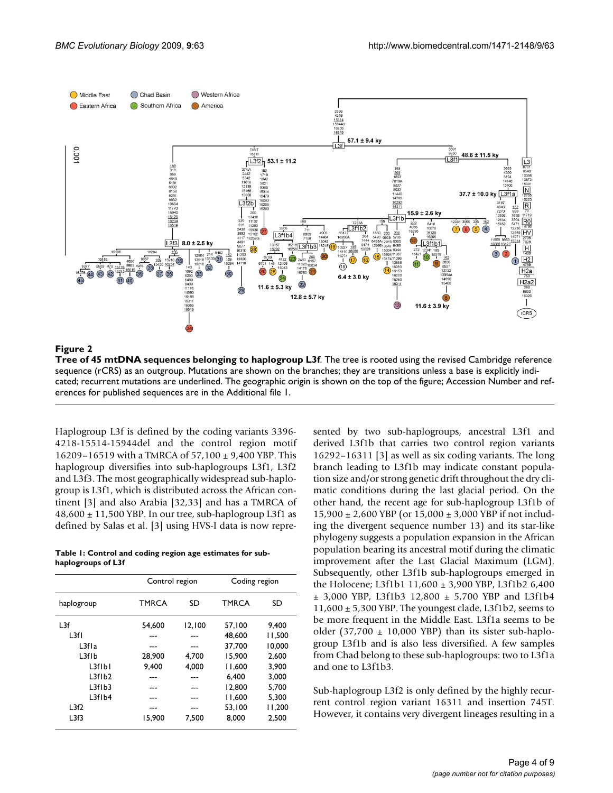

#### Figure 2

**Tree of 45 mtDNA sequences belonging to haplogroup L3f**. The tree is rooted using the revised Cambridge reference sequence (rCRS) as an outgroup. Mutations are shown on the branches; they are transitions unless a base is explicitly indicated; recurrent mutations are underlined. The geographic origin is shown on the top of the figure; Accession Number and references for published sequences are in the Additional file 1.

Haplogroup L3f is defined by the coding variants 3396- 4218-15514-15944del and the control region motif 16209–16519 with a TMRCA of 57,100 ± 9,400 YBP. This haplogroup diversifies into sub-haplogroups L3f1, L3f2 and L3f3. The most geographically widespread sub-haplogroup is L3f1, which is distributed across the African continent [3] and also Arabia [32,33] and has a TMRCA of  $48,600 \pm 11,500$  YBP. In our tree, sub-haplogroup L3f1 as defined by Salas et al. [3] using HVS-I data is now repre-

**Table 1: Control and coding region age estimates for subhaplogroups of L3f**

|                                | Control region |        | Coding region |        |
|--------------------------------|----------------|--------|---------------|--------|
| haplogroup                     | <b>TMRCA</b>   | SD     | <b>TMRCA</b>  | SD     |
| l 3f                           | 54.600         | 12.100 | 57.100        | 9.400  |
| L3fl                           |                |        | 48,600        | 11.500 |
| L <sub>3</sub> f <sub>1a</sub> |                |        | 37.700        | 10.000 |
| L3f1b                          | 28,900         | 4.700  | 15,900        | 2.600  |
| L3flbl                         | 9.400          | 4,000  | 11,600        | 3,900  |
| L3f1b2                         |                |        | 6.400         | 3.000  |
| L3fIb3                         |                |        | 12,800        | 5,700  |
| L3f1b4                         |                |        | 11.600        | 5.300  |
| L3f2                           |                |        | 53.100        | 11,200 |
| L3f3                           | 15.900         | 7.500  | 8.000         | 2.500  |

sented by two sub-haplogroups, ancestral L3f1 and derived L3f1b that carries two control region variants 16292–16311 [3] as well as six coding variants. The long branch leading to L3f1b may indicate constant population size and/or strong genetic drift throughout the dry climatic conditions during the last glacial period. On the other hand, the recent age for sub-haplogroup L3f1b of  $15,900 \pm 2,600$  YBP (or  $15,000 \pm 3,000$  YBP if not including the divergent sequence number 13) and its star-like phylogeny suggests a population expansion in the African population bearing its ancestral motif during the climatic improvement after the Last Glacial Maximum (LGM). Subsequently, other L3f1b sub-haplogroups emerged in the Holocene; L3f1b1 11,600 ± 3,900 YBP, L3f1b2 6,400 ± 3,000 YBP, L3f1b3 12,800 ± 5,700 YBP and L3f1b4 11,600 ± 5,300 YBP. The youngest clade, L3f1b2, seems to be more frequent in the Middle East. L3f1a seems to be older (37,700  $\pm$  10,000 YBP) than its sister sub-haplogroup L3f1b and is also less diversified. A few samples from Chad belong to these sub-haplogroups: two to L3f1a and one to L3f1b3.

Sub-haplogroup L3f2 is only defined by the highly recurrent control region variant 16311 and insertion 745T. However, it contains very divergent lineages resulting in a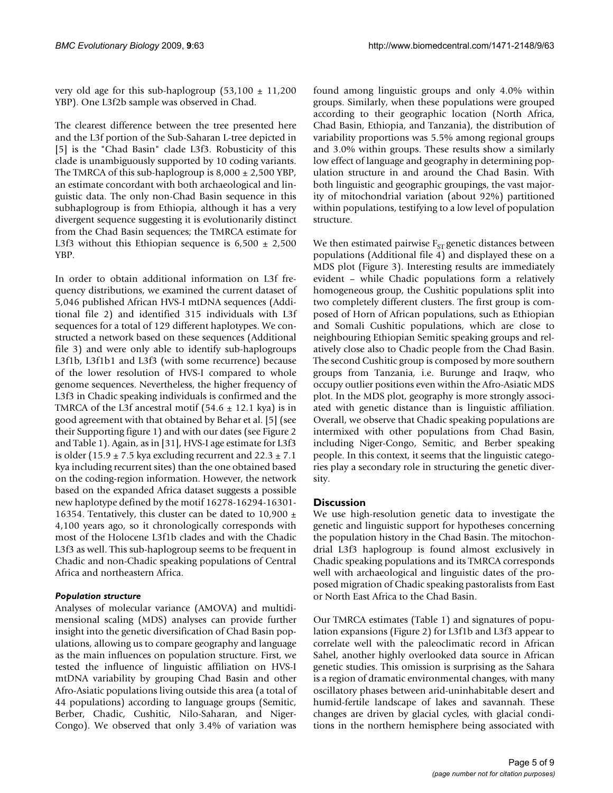very old age for this sub-haplogroup  $(53,100 \pm 11,200)$ YBP). One L3f2b sample was observed in Chad.

The clearest difference between the tree presented here and the L3f portion of the Sub-Saharan L-tree depicted in [5] is the "Chad Basin" clade L3f3. Robusticity of this clade is unambiguously supported by 10 coding variants. The TMRCA of this sub-haplogroup is  $8,000 \pm 2,500$  YBP, an estimate concordant with both archaeological and linguistic data. The only non-Chad Basin sequence in this subhaplogroup is from Ethiopia, although it has a very divergent sequence suggesting it is evolutionarily distinct from the Chad Basin sequences; the TMRCA estimate for L3f3 without this Ethiopian sequence is  $6,500 \pm 2,500$ YBP.

In order to obtain additional information on L3f frequency distributions, we examined the current dataset of 5,046 published African HVS-I mtDNA sequences (Additional file 2) and identified 315 individuals with L3f sequences for a total of 129 different haplotypes. We constructed a network based on these sequences (Additional file 3) and were only able to identify sub-haplogroups L3f1b, L3f1b1 and L3f3 (with some recurrence) because of the lower resolution of HVS-I compared to whole genome sequences. Nevertheless, the higher frequency of L3f3 in Chadic speaking individuals is confirmed and the TMRCA of the L3f ancestral motif  $(54.6 \pm 12.1 \text{ kya})$  is in good agreement with that obtained by Behar et al. [5] (see their Supporting figure 1) and with our dates (see Figure 2 and Table 1). Again, as in [31], HVS-I age estimate for L3f3 is older (15.9  $\pm$  7.5 kya excluding recurrent and 22.3  $\pm$  7.1 kya including recurrent sites) than the one obtained based on the coding-region information. However, the network based on the expanded Africa dataset suggests a possible new haplotype defined by the motif 16278-16294-16301- 16354. Tentatively, this cluster can be dated to 10,900  $\pm$ 4,100 years ago, so it chronologically corresponds with most of the Holocene L3f1b clades and with the Chadic L3f3 as well. This sub-haplogroup seems to be frequent in Chadic and non-Chadic speaking populations of Central Africa and northeastern Africa.

#### *Population structure*

Analyses of molecular variance (AMOVA) and multidimensional scaling (MDS) analyses can provide further insight into the genetic diversification of Chad Basin populations, allowing us to compare geography and language as the main influences on population structure. First, we tested the influence of linguistic affiliation on HVS-I mtDNA variability by grouping Chad Basin and other Afro-Asiatic populations living outside this area (a total of 44 populations) according to language groups (Semitic, Berber, Chadic, Cushitic, Nilo-Saharan, and Niger-Congo). We observed that only 3.4% of variation was

found among linguistic groups and only 4.0% within groups. Similarly, when these populations were grouped according to their geographic location (North Africa, Chad Basin, Ethiopia, and Tanzania), the distribution of variability proportions was 5.5% among regional groups and 3.0% within groups. These results show a similarly low effect of language and geography in determining population structure in and around the Chad Basin. With both linguistic and geographic groupings, the vast majority of mitochondrial variation (about 92%) partitioned within populations, testifying to a low level of population structure.

We then estimated pairwise  $F_{ST}$  genetic distances between populations (Additional file 4) and displayed these on a MDS plot (Figure 3). Interesting results are immediately evident – while Chadic populations form a relatively homogeneous group, the Cushitic populations split into two completely different clusters. The first group is composed of Horn of African populations, such as Ethiopian and Somali Cushitic populations, which are close to neighbouring Ethiopian Semitic speaking groups and relatively close also to Chadic people from the Chad Basin. The second Cushitic group is composed by more southern groups from Tanzania, i.e. Burunge and Iraqw, who occupy outlier positions even within the Afro-Asiatic MDS plot. In the MDS plot, geography is more strongly associated with genetic distance than is linguistic affiliation. Overall, we observe that Chadic speaking populations are intermixed with other populations from Chad Basin, including Niger-Congo, Semitic, and Berber speaking people. In this context, it seems that the linguistic categories play a secondary role in structuring the genetic diversity.

#### **Discussion**

We use high-resolution genetic data to investigate the genetic and linguistic support for hypotheses concerning the population history in the Chad Basin. The mitochondrial L3f3 haplogroup is found almost exclusively in Chadic speaking populations and its TMRCA corresponds well with archaeological and linguistic dates of the proposed migration of Chadic speaking pastoralists from East or North East Africa to the Chad Basin.

Our TMRCA estimates (Table 1) and signatures of population expansions (Figure 2) for L3f1b and L3f3 appear to correlate well with the paleoclimatic record in African Sahel, another highly overlooked data source in African genetic studies. This omission is surprising as the Sahara is a region of dramatic environmental changes, with many oscillatory phases between arid-uninhabitable desert and humid-fertile landscape of lakes and savannah. These changes are driven by glacial cycles, with glacial conditions in the northern hemisphere being associated with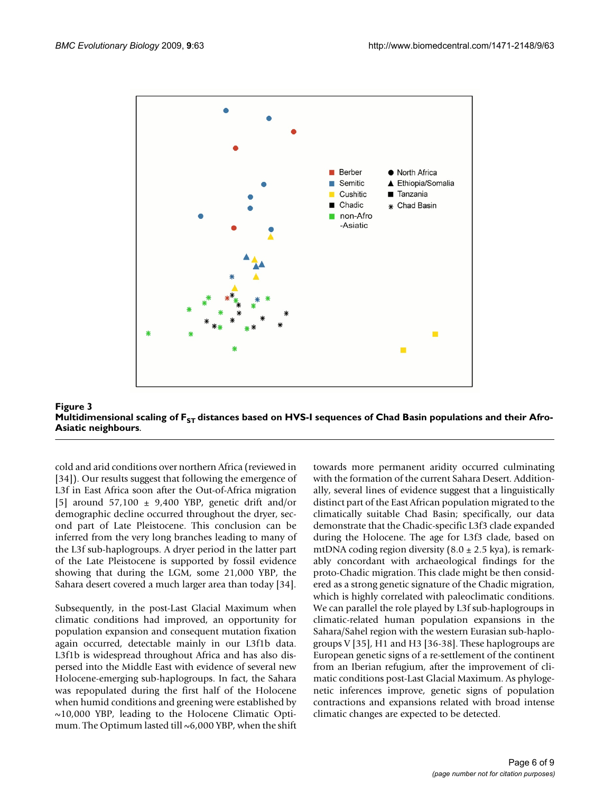

of Figure 3 ST distances based on HVS-I sequences based on HVS-I sequences of Chad Basin populations and their Afro-Asiatic neigh-Afro-Asiatic neigh-Afro-Asiatic neigh-Afro-Asiatic neigh-Afro-Asiatic neigh-Afro-Asiatic nei Multidimensional scaling of F<sub>ST</sub> distances based on HVS-I sequences of Chad Basin populations and their Afro-**Asiatic neighbours**.

cold and arid conditions over northern Africa (reviewed in [34]). Our results suggest that following the emergence of L3f in East Africa soon after the Out-of-Africa migration [5] around 57,100 ± 9,400 YBP, genetic drift and/or demographic decline occurred throughout the dryer, second part of Late Pleistocene. This conclusion can be inferred from the very long branches leading to many of the L3f sub-haplogroups. A dryer period in the latter part of the Late Pleistocene is supported by fossil evidence showing that during the LGM, some 21,000 YBP, the Sahara desert covered a much larger area than today [34].

Subsequently, in the post-Last Glacial Maximum when climatic conditions had improved, an opportunity for population expansion and consequent mutation fixation again occurred, detectable mainly in our L3f1b data. L3f1b is widespread throughout Africa and has also dispersed into the Middle East with evidence of several new Holocene-emerging sub-haplogroups. In fact, the Sahara was repopulated during the first half of the Holocene when humid conditions and greening were established by ~10,000 YBP, leading to the Holocene Climatic Optimum. The Optimum lasted till  $\sim 6,000$  YBP, when the shift

towards more permanent aridity occurred culminating with the formation of the current Sahara Desert. Additionally, several lines of evidence suggest that a linguistically distinct part of the East African population migrated to the climatically suitable Chad Basin; specifically, our data demonstrate that the Chadic-specific L3f3 clade expanded during the Holocene. The age for L3f3 clade, based on mtDNA coding region diversity  $(8.0 \pm 2.5 \text{ kya})$ , is remarkably concordant with archaeological findings for the proto-Chadic migration. This clade might be then considered as a strong genetic signature of the Chadic migration, which is highly correlated with paleoclimatic conditions. We can parallel the role played by L3f sub-haplogroups in climatic-related human population expansions in the Sahara/Sahel region with the western Eurasian sub-haplogroups V [35], H1 and H3 [36-38]. These haplogroups are European genetic signs of a re-settlement of the continent from an Iberian refugium, after the improvement of climatic conditions post-Last Glacial Maximum. As phylogenetic inferences improve, genetic signs of population contractions and expansions related with broad intense climatic changes are expected to be detected.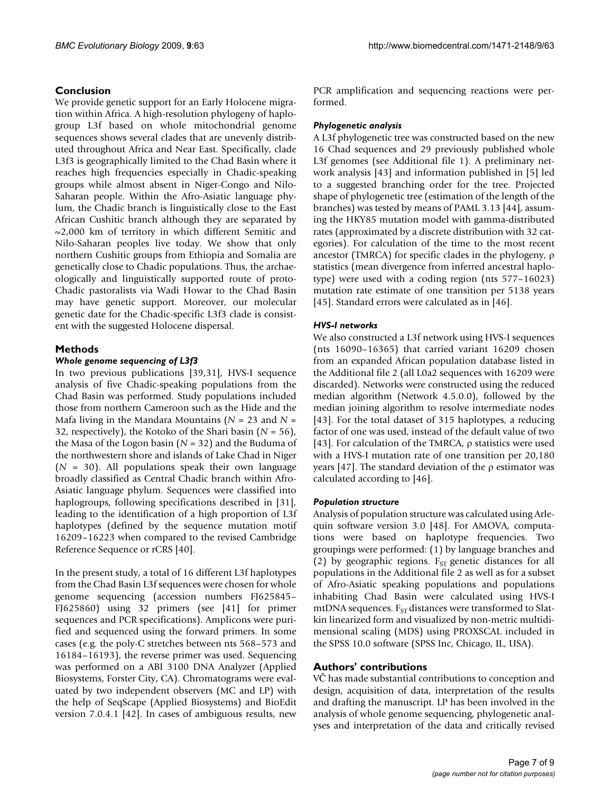# **Conclusion**

We provide genetic support for an Early Holocene migration within Africa. A high-resolution phylogeny of haplogroup L3f based on whole mitochondrial genome sequences shows several clades that are unevenly distributed throughout Africa and Near East. Specifically, clade L3f3 is geographically limited to the Chad Basin where it reaches high frequencies especially in Chadic-speaking groups while almost absent in Niger-Congo and Nilo-Saharan people. Within the Afro-Asiatic language phylum, the Chadic branch is linguistically close to the East African Cushitic branch although they are separated by  $\sim$ 2,000 km of territory in which different Semitic and Nilo-Saharan peoples live today. We show that only northern Cushitic groups from Ethiopia and Somalia are genetically close to Chadic populations. Thus, the archaeologically and linguistically supported route of proto-Chadic pastoralists via Wadi Howar to the Chad Basin may have genetic support. Moreover, our molecular genetic date for the Chadic-specific L3f3 clade is consistent with the suggested Holocene dispersal.

# **Methods**

#### *Whole genome sequencing of L3f3*

In two previous publications [39,31], HVS-I sequence analysis of five Chadic-speaking populations from the Chad Basin was performed. Study populations included those from northern Cameroon such as the Hide and the Mafa living in the Mandara Mountains  $(N = 23$  and  $N =$ 32, respectively), the Kotoko of the Shari basin (*N* = 56), the Masa of the Logon basin (*N* = 32) and the Buduma of the northwestern shore and islands of Lake Chad in Niger  $(N = 30)$ . All populations speak their own language broadly classified as Central Chadic branch within Afro-Asiatic language phylum. Sequences were classified into haplogroups, following specifications described in [31], leading to the identification of a high proportion of L3f haplotypes (defined by the sequence mutation motif 16209–16223 when compared to the revised Cambridge Reference Sequence or rCRS [40].

In the present study, a total of 16 different L3f haplotypes from the Chad Basin L3f sequences were chosen for whole genome sequencing (accession numbers FJ625845– FJ625860) using 32 primers (see [41] for primer sequences and PCR specifications). Amplicons were purified and sequenced using the forward primers. In some cases (e.g. the poly-C stretches between nts 568–573 and 16184–16193), the reverse primer was used. Sequencing was performed on a ABI 3100 DNA Analyzer (Applied Biosystems, Forster City, CA). Chromatograms were evaluated by two independent observers (MC and LP) with the help of SeqScape (Applied Biosystems) and BioEdit version 7.0.4.1 [42]. In cases of ambiguous results, new PCR amplification and sequencing reactions were performed.

#### *Phylogenetic analysis*

A L3f phylogenetic tree was constructed based on the new 16 Chad sequences and 29 previously published whole L3f genomes (see Additional file 1). A preliminary network analysis [43] and information published in [5] led to a suggested branching order for the tree. Projected shape of phylogenetic tree (estimation of the length of the branches) was tested by means of PAML 3.13 [44], assuming the HKY85 mutation model with gamma-distributed rates (approximated by a discrete distribution with 32 categories). For calculation of the time to the most recent ancestor (TMRCA) for specific clades in the phylogeny, statistics (mean divergence from inferred ancestral haplotype) were used with a coding region (nts 577–16023) mutation rate estimate of one transition per 5138 years [45]. Standard errors were calculated as in [46].

#### *HVS-I networks*

We also constructed a L3f network using HVS-I sequences (nts 16090–16365) that carried variant 16209 chosen from an expanded African population database listed in the Additional file 2 (all L0a2 sequences with 16209 were discarded). Networks were constructed using the reduced median algorithm (Network 4.5.0.0), followed by the median joining algorithm to resolve intermediate nodes [43]. For the total dataset of 315 haplotypes, a reducing factor of one was used, instead of the default value of two [43]. For calculation of the TMRCA,  $\rho$  statistics were used with a HVS-I mutation rate of one transition per 20,180 years [47]. The standard deviation of the  $\rho$  estimator was calculated according to [46].

#### *Population structure*

Analysis of population structure was calculated using Arlequin software version 3.0 [48]. For AMOVA, computations were based on haplotype frequencies. Two groupings were performed: (1) by language branches and (2) by geographic regions.  $F_{ST}$  genetic distances for all populations in the Additional file 2 as well as for a subset of Afro-Asiatic speaking populations and populations inhabiting Chad Basin were calculated using HVS-I mtDNA sequences.  $F_{ST}$  distances were transformed to Slatkin linearized form and visualized by non-metric multidimensional scaling (MDS) using PROXSCAL included in the SPSS 10.0 software (SPSS Inc, Chicago, IL, USA).

#### **Authors' contributions**

VC has made substantial contributions to conception and design, acquisition of data, interpretation of the results and drafting the manuscript. LP has been involved in the analysis of whole genome sequencing, phylogenetic analyses and interpretation of the data and critically revised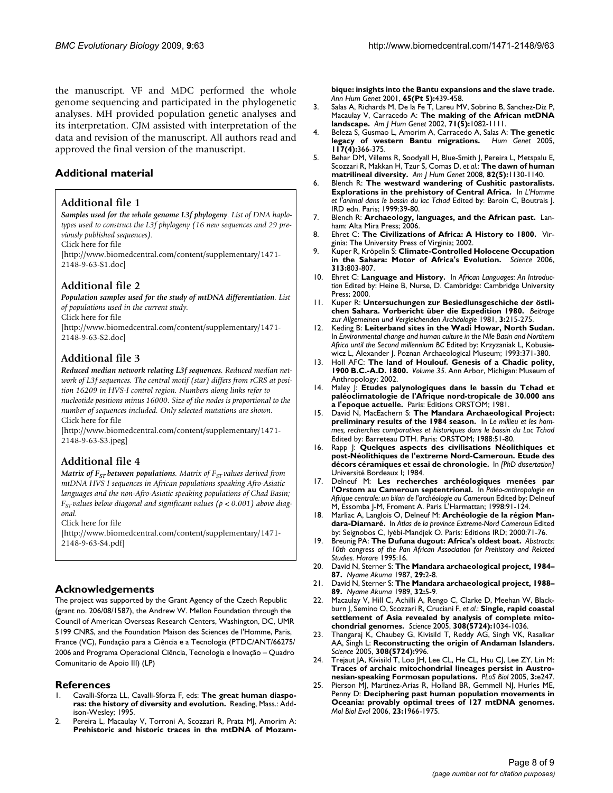the manuscript. VF and MDC performed the whole genome sequencing and participated in the phylogenetic analyses. MH provided population genetic analyses and its interpretation. CJM assisted with interpretation of the data and revision of the manuscript. All authors read and approved the final version of the manuscript.

# **Additional material**

#### **Additional file 1**

*Samples used for the whole genome L3f phylogeny. List of DNA haplotypes used to construct the L3f phylogeny (16 new sequences and 29 previously published sequences).*

Click here for file

[\[http://www.biomedcentral.com/content/supplementary/1471-](http://www.biomedcentral.com/content/supplementary/1471-2148-9-63-S1.doc) 2148-9-63-S1.doc]

# **Additional file 2**

*Population samples used for the study of mtDNA differentiation. List of populations used in the current study.*

Click here for file

[\[http://www.biomedcentral.com/content/supplementary/1471-](http://www.biomedcentral.com/content/supplementary/1471-2148-9-63-S2.doc) 2148-9-63-S2.doc]

# **Additional file 3**

*Reduced median network relating L3f sequences. Reduced median network of L3f sequences. The central motif (star) differs from rCRS at position 16209 in HVS-I control region. Numbers along links refer to nucleotide positions minus 16000. Size of the nodes is proportional to the number of sequences included. Only selected mutations are shown.* Click here for file

[\[http://www.biomedcentral.com/content/supplementary/1471-](http://www.biomedcentral.com/content/supplementary/1471-2148-9-63-S3.jpeg) 2148-9-63-S3.jpeg]

# **Additional file 4**

*Matrix of F<sub>ST</sub> between populations. Matrix of F<sub>ST</sub> values derived from mtDNA HVS I sequences in African populations speaking Afro-Asiatic languages and the non-Afro-Asiatic speaking populations of Chad Basin; FST values below diagonal and significant values (p < 0.001) above diagonal.*

Click here for file

[\[http://www.biomedcentral.com/content/supplementary/1471-](http://www.biomedcentral.com/content/supplementary/1471-2148-9-63-S4.pdf) 2148-9-63-S4.pdf]

#### **Acknowledgements**

The project was supported by the Grant Agency of the Czech Republic (grant no. 206/08/1587), the Andrew W. Mellon Foundation through the Council of American Overseas Research Centers, Washington, DC, UMR 5199 CNRS, and the Foundation Maison des Sciences de l'Homme, Paris, France (VC), Fundação para a Ciência e a Tecnologia (PTDC/ANT/66275/ 2006 and Programa Operacional Ciência, Tecnologia e Inovação – Quadro Comunitario de Apoio III) (LP)

#### **References**

- 1. Cavalli-Sforza LL, Cavalli-Sforza F, eds: **The great human diasporas: the history of diversity and evolution.** Reading, Mass.: Addison-Wesley; 1995.
- Pereira L, Macaulay V, Torroni A, Scozzari R, Prata MJ, Amorim A: **[Prehistoric and historic traces in the mtDNA of Mozam-](http://www.ncbi.nlm.nih.gov/entrez/query.fcgi?cmd=Retrieve&db=PubMed&dopt=Abstract&list_uids=11806853)**

**[bique: insights into the Bantu expansions and the slave trade.](http://www.ncbi.nlm.nih.gov/entrez/query.fcgi?cmd=Retrieve&db=PubMed&dopt=Abstract&list_uids=11806853)** *Ann Hum Genet* 2001, **65(Pt 5):**439-458.

- 3. Salas A, Richards M, De la Fe T, Lareu MV, Sobrino B, Sanchez-Diz P, Macaulay V, Carracedo A: **[The making of the African mtDNA](http://www.ncbi.nlm.nih.gov/entrez/query.fcgi?cmd=Retrieve&db=PubMed&dopt=Abstract&list_uids=12395296) [landscape.](http://www.ncbi.nlm.nih.gov/entrez/query.fcgi?cmd=Retrieve&db=PubMed&dopt=Abstract&list_uids=12395296)** *Am J Hum Genet* 2002, **71(5):**1082-1111.
- 4. Beleza S, Gusmao L, Amorim A, Carracedo A, Salas A: **[The genetic](http://www.ncbi.nlm.nih.gov/entrez/query.fcgi?cmd=Retrieve&db=PubMed&dopt=Abstract&list_uids=15928903) [legacy of western Bantu migrations.](http://www.ncbi.nlm.nih.gov/entrez/query.fcgi?cmd=Retrieve&db=PubMed&dopt=Abstract&list_uids=15928903)** *Hum Genet* 2005, **117(4):**366-375.
- 5. Behar DM, Villems R, Soodyall H, Blue-Smith J, Pereira L, Metspalu E, Scozzari R, Makkan H, Tzur S, Comas D, *et al.*: **[The dawn of human](http://www.ncbi.nlm.nih.gov/entrez/query.fcgi?cmd=Retrieve&db=PubMed&dopt=Abstract&list_uids=18439549) [matrilineal diversity.](http://www.ncbi.nlm.nih.gov/entrez/query.fcgi?cmd=Retrieve&db=PubMed&dopt=Abstract&list_uids=18439549)** *Am J Hum Genet* 2008, **82(5):**1130-1140.
- 6. Blench R: **The westward wandering of Cushitic pastoralists. Explorations in the prehistory of Central Africa.** In *L'Homme et l'animal dans le bassin du lac Tchad* Edited by: Baroin C, Boutrais J. IRD edn. Paris; 1999:39-80.
- 7. Blench R: **[Archaeology, languages, and the African past.](http://www.ncbi.nlm.nih.gov/entrez/query.fcgi?cmd=Retrieve&db=PubMed&dopt=Abstract&list_uids=16361098)** Lanham: Alta Mira Press; 2006.
- 8. Ehret C: **The Civilizations of Africa: A History to 1800.** Virginia: The University Press of Virginia; 2002.
- 9. Kuper R, Kröpelin S: **[Climate-Controlled Holocene Occupation](http://www.ncbi.nlm.nih.gov/entrez/query.fcgi?cmd=Retrieve&db=PubMed&dopt=Abstract&list_uids=16857900) [in the Sahara: Motor of Africa's Evolution.](http://www.ncbi.nlm.nih.gov/entrez/query.fcgi?cmd=Retrieve&db=PubMed&dopt=Abstract&list_uids=16857900)** *Science* 2006, **313:**803-807.
- 10. Ehret C: **Language and History.** In *African Languages: An Introduction* Edited by: Heine B, Nurse, D. Cambridge: Cambridge University Press; 2000.
- 11. Kuper R: **Untersuchungen zur Besiedlunsgeschiche der östlichen Sahara. Vorbericht über die Expedition 1980.** *Beitrage zur Allgemeinen und Vergleichenden Archäologie* 1981, **3:**215-275.
- 12. Keding B: **Leiterband sites in the Wadi Howar, North Sudan.** In *Environmental change and human culture in the Nile Basin and Northern Africa until the Second millennium BC* Edited by: Krzyzaniak L, Kobusiewicz L, Alexander J. Poznan Archaeological Museum; 1993:371-380.
- 13. Holl AFC: **The land of Houlouf. Genesis of a Chadic polity, 1900 B.C.-A.D. 1800.** *Volume 35*. Ann Arbor, Michigan: Museum of Anthropology; 2002.
- 14. Maley J: **Etudes palynologiques dans le bassin du Tchad et paléoclimatologie de l'Afrique nord-tropicale de 30.000 ans a l'epoque actuelle.** Paris: Editions ORSTOM; 1981.
- 15. David N, MacEachern S: **The Mandara Archaeological Project: preliminary results of the 1984 season.** In *Le millieu et les hommes, recherches comparatives et historiques dans le bassin du Lac Tchad* Edited by: Barreteau DTH. Paris: ORSTOM; 1988:51-80.
- 16. Rapp J: **Quelques aspects des civilisations Néolithiques et post-Néolithiques de l'extreme Nord-Cameroun. Etude des décors céramiques et essai de chronologie.** In *[PhD dissertation]* Université Bordeaux I; 1984.
- 17. Delneuf M: **Les recherches archéologiques menées par l'Orstom au Cameroun septentrional.** In *Paléo-anthropologie en Afrique centrale: un bilan de l'archéologie au Cameroun* Edited by: Delneuf M, Essomba J-M, Froment A. Paris L'Harmattan; 1998:91-124.
- 18. Marliac A, Langlois O, Delneuf M: **Archéologie de la région Mandara-Diamaré.** In *Atlas de la province Extreme-Nord Cameroun* Edited by: Seignobos C, Iyébi-Mandjek O. Paris: Editions IRD; 2000:71-76.
- 19. Breunig PA: **The Dufuna dugout: Africa's oldest boat.** *Abstracts: 10th congress of the Pan African Association for Prehistory and Related Studies. Harare* 1995:16.
- 20. David N, Sterner S: **The Mandara archaeological project, 1984– 87.** *Nyame Akuma* 1987, **29:**2-8.
- 21. David N, Sterner S: **The Mandara archaeological project, 1988– 89.** *Nyame Akuma* 1989, **32:**5-9.
- 22. Macaulay V, Hill C, Achilli A, Rengo C, Clarke D, Meehan W, Blackburn J, Semino O, Scozzari R, Cruciani F, *et al.*: **[Single, rapid coastal](http://www.ncbi.nlm.nih.gov/entrez/query.fcgi?cmd=Retrieve&db=PubMed&dopt=Abstract&list_uids=15890885) [settlement of Asia revealed by analysis of complete mito](http://www.ncbi.nlm.nih.gov/entrez/query.fcgi?cmd=Retrieve&db=PubMed&dopt=Abstract&list_uids=15890885)[chondrial genomes.](http://www.ncbi.nlm.nih.gov/entrez/query.fcgi?cmd=Retrieve&db=PubMed&dopt=Abstract&list_uids=15890885)** *Science* 2005, **308(5724):**1034-1036.
- 23. Thangaraj K, Chaubey G, Kivisild T, Reddy AG, Singh VK, Rasalkar AA, Singh L: **[Reconstructing the origin of Andaman Islanders.](http://www.ncbi.nlm.nih.gov/entrez/query.fcgi?cmd=Retrieve&db=PubMed&dopt=Abstract&list_uids=15890876)** *Science* 2005, **308(5724):**996.
- 24. Trejaut JA, Kivisild T, Loo JH, Lee CL, He CL, Hsu CJ, Lee ZY, Lin M: **[Traces of archaic mitochondrial lineages persist in Austro](http://www.ncbi.nlm.nih.gov/entrez/query.fcgi?cmd=Retrieve&db=PubMed&dopt=Abstract&list_uids=15984912)[nesian-speaking Formosan populations.](http://www.ncbi.nlm.nih.gov/entrez/query.fcgi?cmd=Retrieve&db=PubMed&dopt=Abstract&list_uids=15984912)** *PLoS Biol* 2005, **3:**e247.
- 25. Pierson MJ, Martinez-Arias R, Holland BR, Gemmell NJ, Hurles ME, Penny D: **[Deciphering past human population movements in](http://www.ncbi.nlm.nih.gov/entrez/query.fcgi?cmd=Retrieve&db=PubMed&dopt=Abstract&list_uids=16855009) [Oceania: provably optimal trees of 127 mtDNA genomes.](http://www.ncbi.nlm.nih.gov/entrez/query.fcgi?cmd=Retrieve&db=PubMed&dopt=Abstract&list_uids=16855009)** *Mol Biol Evol* 2006, **23:**1966-1975.